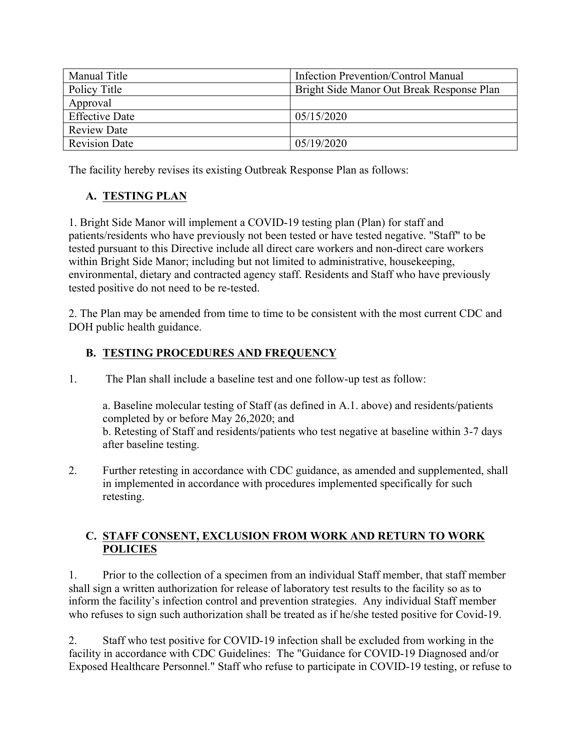| Manual Title          | Infection Prevention/Control Manual       |
|-----------------------|-------------------------------------------|
| Policy Title          | Bright Side Manor Out Break Response Plan |
| Approval              |                                           |
| <b>Effective Date</b> | 05/15/2020                                |
| <b>Review Date</b>    |                                           |
| <b>Revision Date</b>  | 05/19/2020                                |

The facility hereby revises its existing Outbreak Response Plan as follows:

## **A. TESTING PLAN**

1. Bright Side Manor will implement a COVID-19 testing plan (Plan) for staff and patients/residents who have previously not been tested or have tested negative. "Staff" to be tested pursuant to this Directive include all direct care workers and non-direct care workers within Bright Side Manor; including but not limited to administrative, housekeeping, environmental, dietary and contracted agency staff. Residents and Staff who have previously tested positive do not need to be re-tested.

2. The Plan may be amended from time to time to be consistent with the most current CDC and DOH public health guidance.

## **B. TESTING PROCEDURES AND FREQUENCY**

1. The Plan shall include a baseline test and one follow-up test as follow:

a. Baseline molecular testing of Staff (as defined in A.1. above) and residents/patients completed by or before May 26,2020; and b. Retesting of Staff and residents/patients who test negative at baseline within 3-7 days after baseline testing.

2. Further retesting in accordance with CDC guidance, as amended and supplemented, shall in implemented in accordance with procedures implemented specifically for such retesting.

#### **C. STAFF CONSENT, EXCLUSION FROM WORK AND RETURN TO WORK POLICIES**

1. Prior to the collection of a specimen from an individual Staff member, that staff member shall sign a written authorization for release of laboratory test results to the facility so as to inform the facility's infection control and prevention strategies. Any individual Staff member who refuses to sign such authorization shall be treated as if he/she tested positive for Covid-19.

2. Staff who test positive for COVID-19 infection shall be excluded from working in the facility in accordance with CDC Guidelines: The "Guidance for COVID-19 Diagnosed and/or Exposed Healthcare Personnel." Staff who refuse to participate in COVID-19 testing, or refuse to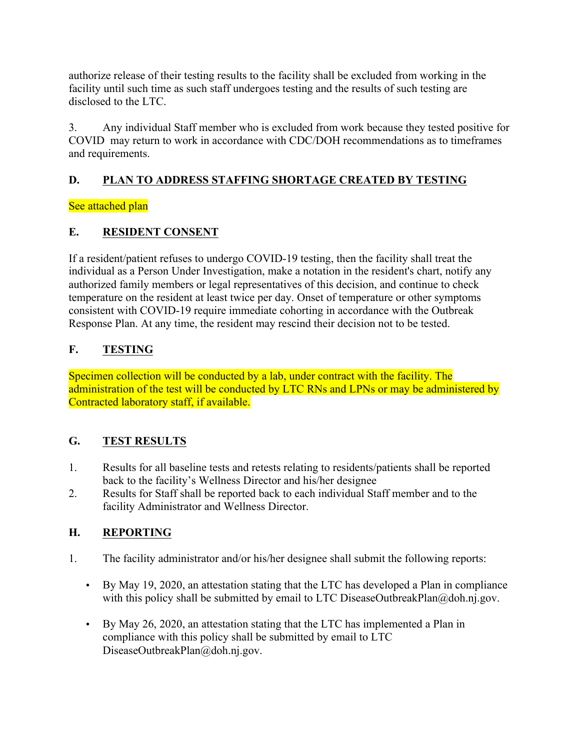authorize release of their testing results to the facility shall be excluded from working in the facility until such time as such staff undergoes testing and the results of such testing are disclosed to the LTC.

3. Any individual Staff member who is excluded from work because they tested positive for COVID may return to work in accordance with CDC/DOH recommendations as to timeframes and requirements.

## **D. PLAN TO ADDRESS STAFFING SHORTAGE CREATED BY TESTING**

### See attached plan

## **E. RESIDENT CONSENT**

If a resident/patient refuses to undergo COVID-19 testing, then the facility shall treat the individual as a Person Under Investigation, make a notation in the resident's chart, notify any authorized family members or legal representatives of this decision, and continue to check temperature on the resident at least twice per day. Onset of temperature or other symptoms consistent with COVID-19 require immediate cohorting in accordance with the Outbreak Response Plan. At any time, the resident may rescind their decision not to be tested.

## **F. TESTING**

Specimen collection will be conducted by a lab, under contract with the facility. The administration of the test will be conducted by LTC RNs and LPNs or may be administered by Contracted laboratory staff, if available.

# **G. TEST RESULTS**

- 1. Results for all baseline tests and retests relating to residents/patients shall be reported back to the facility's Wellness Director and his/her designee
- 2. Results for Staff shall be reported back to each individual Staff member and to the facility Administrator and Wellness Director.

## **H. REPORTING**

- 1. The facility administrator and/or his/her designee shall submit the following reports:
	- By May 19, 2020, an attestation stating that the LTC has developed a Plan in compliance with this policy shall be submitted by email to LTC DiseaseOutbreakPlan@doh.nj.gov.
	- By May 26, 2020, an attestation stating that the LTC has implemented a Plan in compliance with this policy shall be submitted by email to LTC DiseaseOutbreakPlan@doh.nj.gov.